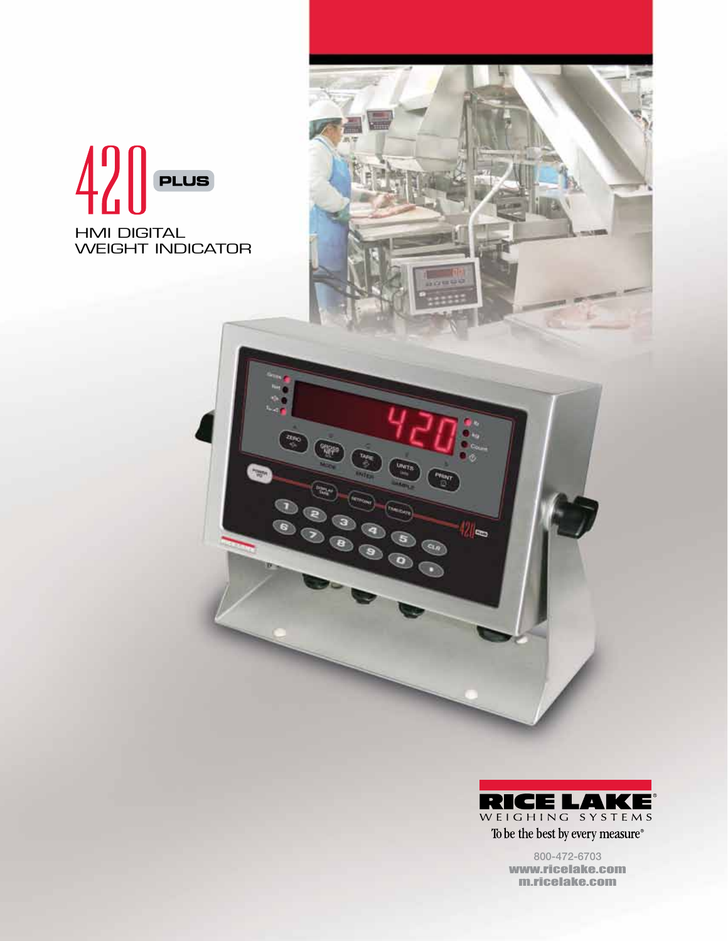# $420$  PLUS HMI DIGITAL WEIGHT INDICATOR

 $\frac{z_{\rm{C}}}{z}$ 

 $\bullet$ 

聊



lle.

 $\binom{a}{b}$ 

ි

800-472-6703 www.ricelake.com m.ricelake.com